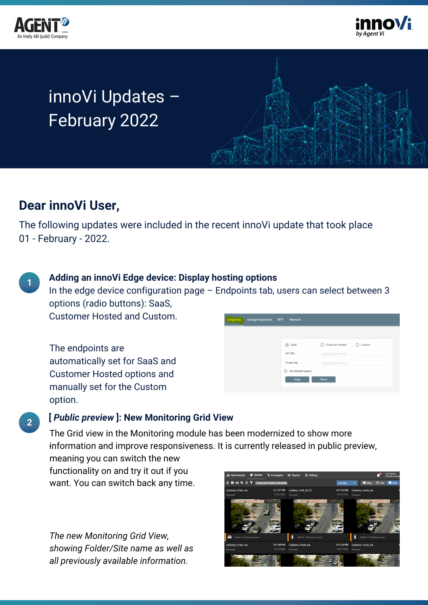



# innoVi Updates – February 2022



# **Dear innoVi User,**

**1**

**2**

The following updates were included in the recent innoVi update that took place 01 - February - 2022.

## **Adding an innoVi Edge device: Display hosting options**

In the edge device configuration page – Endpoints tab, users can select between 3 options (radio buttons): SaaS,

Customer Hosted and Custom.

The endpoints are automatically set for SaaS and Customer Hosted options and manually set for the Custom option.

| Endpoints | <b>Change Password</b> | <b>NTP</b><br><b>Network</b>         |                          |        |
|-----------|------------------------|--------------------------------------|--------------------------|--------|
|           |                        | SaaS                                 | <b>Customer Hosted</b>   | Custom |
|           |                        | <b>API URL:</b>                      | https://edge.innovi.io   |        |
|           |                        | Portal URL:                          | https://portal.innovi.io |        |
|           |                        | Use default registry<br>$\checkmark$ |                          |        |
|           |                        | Apply                                | <b>Reset</b>             |        |

### **[** *Public preview* **]: New Monitoring Grid View**

. information and improve responsiveness. It is currently released in public preview, The Grid view in the Monitoring module has been modernized to show more meaning you can switch the new functionality on and try it out if you

want. You can switch back any time.

*The new Monitoring Grid View, showing Folder/Site name as well as all previously available information.*